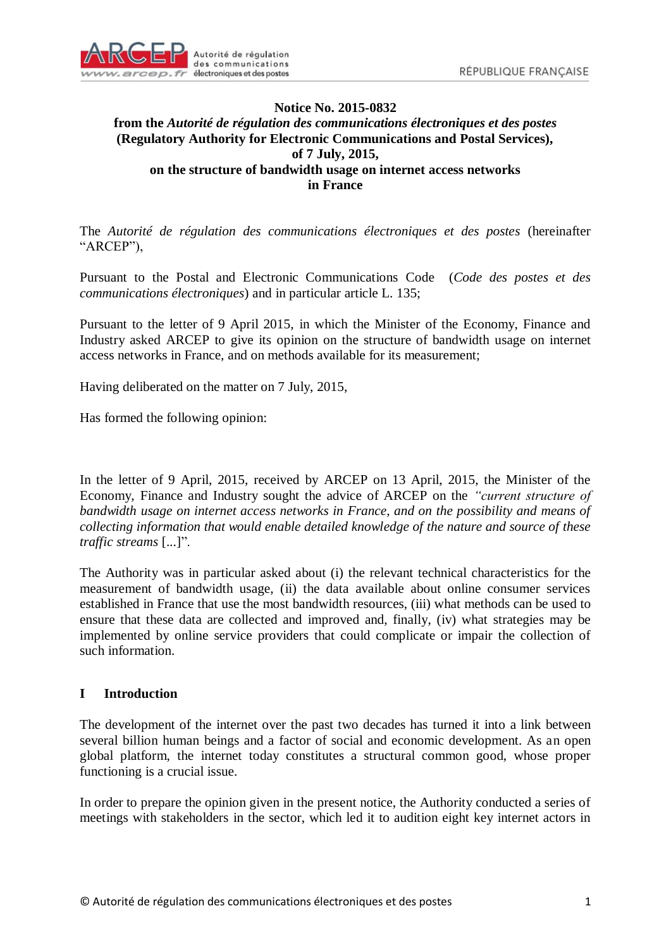

### **Notice No. 2015-0832 from the** *Autorité de régulation des communications électroniques et des postes* **(Regulatory Authority for Electronic Communications and Postal Services), of 7 July, 2015, on the structure of bandwidth usage on internet access networks in France**

The *Autorité de régulation des communications électroniques et des postes* (hereinafter "ARCEP"),

Pursuant to the Postal and Electronic Communications Code (*Code des postes et des communications électroniques*) and in particular article L. 135;

Pursuant to the letter of 9 April 2015, in which the Minister of the Economy, Finance and Industry asked ARCEP to give its opinion on the structure of bandwidth usage on internet access networks in France, and on methods available for its measurement;

Having deliberated on the matter on 7 July, 2015,

Has formed the following opinion:

In the letter of 9 April, 2015, received by ARCEP on 13 April, 2015, the Minister of the Economy, Finance and Industry sought the advice of ARCEP on the *"current structure of bandwidth usage on internet access networks in France, and on the possibility and means of collecting information that would enable detailed knowledge of the nature and source of these traffic streams* [...]".

The Authority was in particular asked about (i) the relevant technical characteristics for the measurement of bandwidth usage, (ii) the data available about online consumer services established in France that use the most bandwidth resources, (iii) what methods can be used to ensure that these data are collected and improved and, finally, (iv) what strategies may be implemented by online service providers that could complicate or impair the collection of such information.

### <span id="page-0-0"></span>**I Introduction**

The development of the internet over the past two decades has turned it into a link between several billion human beings and a factor of social and economic development. As an open global platform, the internet today constitutes a structural common good, whose proper functioning is a crucial issue.

In order to prepare the opinion given in the present notice, the Authority conducted a series of meetings with stakeholders in the sector, which led it to audition eight key internet actors in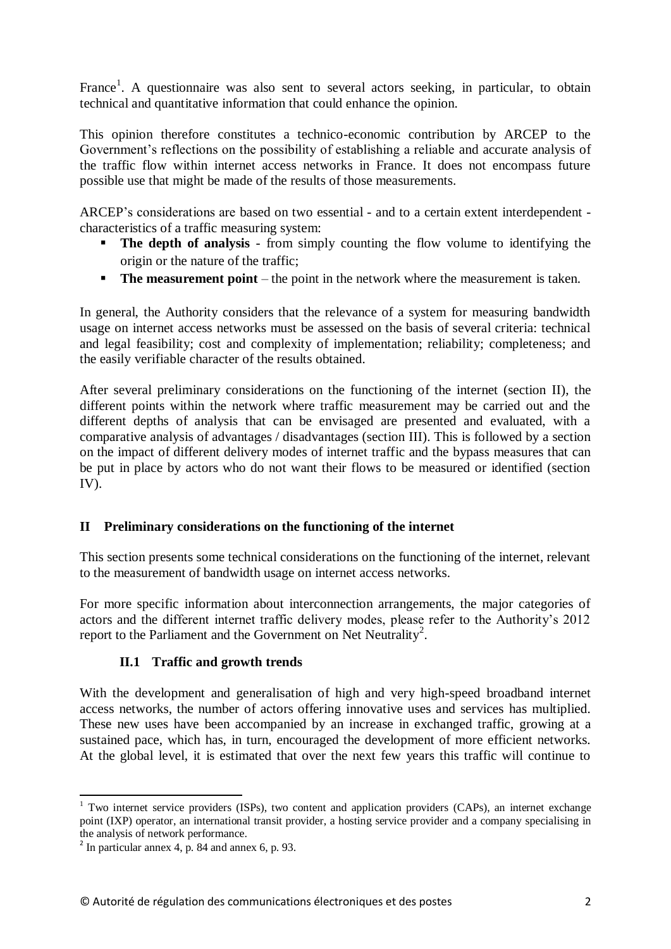France<sup>1</sup>. A questionnaire was also sent to several actors seeking, in particular, to obtain technical and quantitative information that could enhance the opinion.

This opinion therefore constitutes a technico-economic contribution by ARCEP to the Government's reflections on the possibility of establishing a reliable and accurate analysis of the traffic flow within internet access networks in France. It does not encompass future possible use that might be made of the results of those measurements.

ARCEP's considerations are based on two essential - and to a certain extent interdependent characteristics of a traffic measuring system:

- **The depth of analysis** from simply counting the flow volume to identifying the origin or the nature of the traffic;
- **The measurement point** the point in the network where the measurement is taken.

In general, the Authority considers that the relevance of a system for measuring bandwidth usage on internet access networks must be assessed on the basis of several criteria: technical and legal feasibility; cost and complexity of implementation; reliability; completeness; and the easily verifiable character of the results obtained.

After several preliminary considerations on the functioning of the internet (section [II\)](#page-1-0), the different points within the network where traffic measurement may be carried out and the different depths of analysis that can be envisaged are presented and evaluated, with a comparative analysis of advantages / disadvantages (section [III\)](#page-4-0). This is followed by a section on the impact of different delivery modes of internet traffic and the bypass measures that can be put in place by actors who do not want their flows to be measured or identified (section [IV\)](#page-10-0).

### <span id="page-1-0"></span>**II Preliminary considerations on the functioning of the internet**

This section presents some technical considerations on the functioning of the internet, relevant to the measurement of bandwidth usage on internet access networks.

For more specific information about interconnection arrangements, the major categories of actors and the different internet traffic delivery modes, please refer to the Authority's 2012 report to the Parliament and the Government on Net Neutrality<sup>2</sup>.

### **II.1 Traffic and growth trends**

With the development and generalisation of high and very high-speed broadband internet access networks, the number of actors offering innovative uses and services has multiplied. These new uses have been accompanied by an increase in exchanged traffic, growing at a sustained pace, which has, in turn, encouraged the development of more efficient networks. At the global level, it is estimated that over the next few years this traffic will continue to

<sup>1</sup>  $1$  Two internet service providers (ISPs), two content and application providers (CAPs), an internet exchange point (IXP) operator, an international transit provider, a hosting service provider and a company specialising in the analysis of network performance.

 $<sup>2</sup>$  In particular annex 4, p. 84 and annex 6, p. 93.</sup>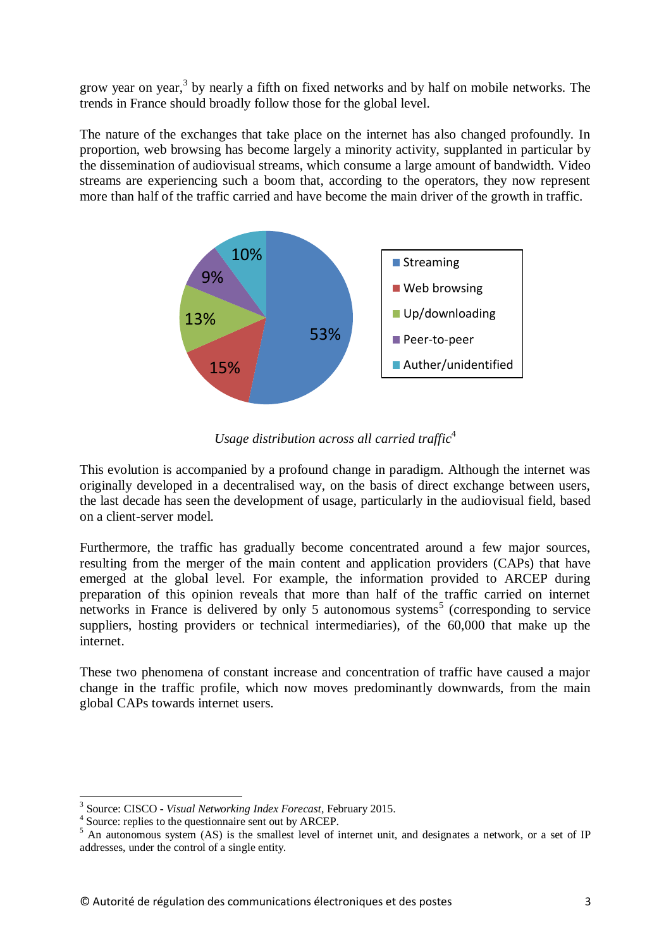grow year on year, $3$  by nearly a fifth on fixed networks and by half on mobile networks. The trends in France should broadly follow those for the global level.

The nature of the exchanges that take place on the internet has also changed profoundly. In proportion, web browsing has become largely a minority activity, supplanted in particular by the dissemination of audiovisual streams, which consume a large amount of bandwidth. Video streams are experiencing such a boom that, according to the operators, they now represent more than half of the traffic carried and have become the main driver of the growth in traffic.



*Usage distribution across all carried traffic*<sup>4</sup>

This evolution is accompanied by a profound change in paradigm. Although the internet was originally developed in a decentralised way, on the basis of direct exchange between users, the last decade has seen the development of usage, particularly in the audiovisual field, based on a client-server model.

Furthermore, the traffic has gradually become concentrated around a few major sources, resulting from the merger of the main content and application providers (CAPs) that have emerged at the global level. For example, the information provided to ARCEP during preparation of this opinion reveals that more than half of the traffic carried on internet networks in France is delivered by only 5 autonomous systems<sup>5</sup> (corresponding to service suppliers, hosting providers or technical intermediaries), of the 60,000 that make up the internet.

These two phenomena of constant increase and concentration of traffic have caused a major change in the traffic profile, which now moves predominantly downwards, from the main global CAPs towards internet users.

 3 Source: CISCO - *Visual Networking Index Forecast*, February 2015.

<sup>4</sup> Source: replies to the questionnaire sent out by ARCEP.

<sup>&</sup>lt;sup>5</sup> An autonomous system (AS) is the smallest level of internet unit, and designates a network, or a set of IP addresses, under the control of a single entity.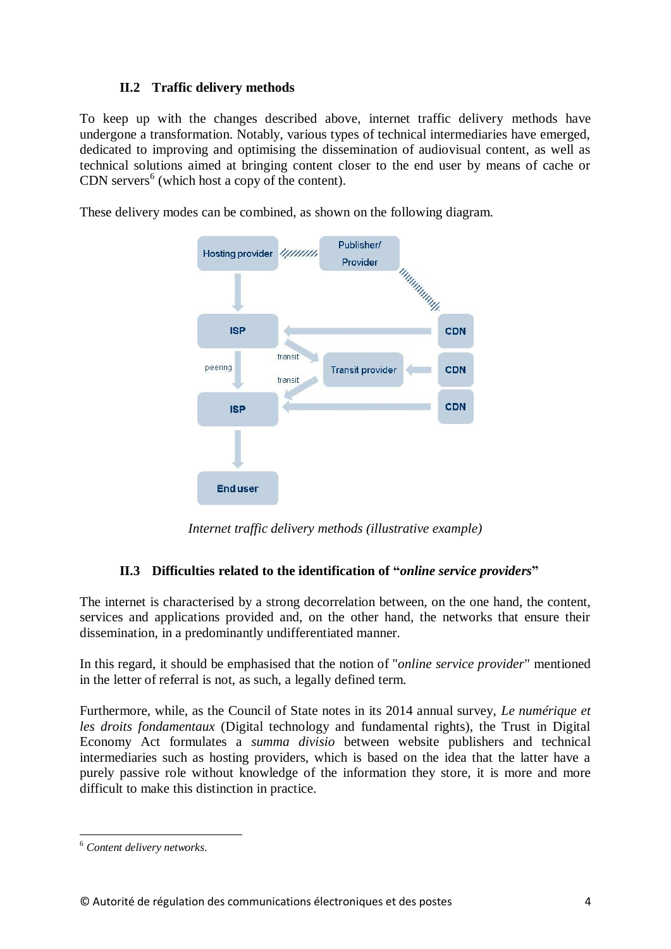### **II.2 Traffic delivery methods**

To keep up with the changes described above, internet traffic delivery methods have undergone a transformation. Notably, various types of technical intermediaries have emerged, dedicated to improving and optimising the dissemination of audiovisual content, as well as technical solutions aimed at bringing content closer to the end user by means of cache or CDN servers $<sup>6</sup>$  (which host a copy of the content).</sup>

These delivery modes can be combined, as shown on the following diagram.



*Internet traffic delivery methods (illustrative example)*

# **II.3 Difficulties related to the identification of "***online service providers***"**

<span id="page-3-0"></span>The internet is characterised by a strong decorrelation between, on the one hand, the content, services and applications provided and, on the other hand, the networks that ensure their dissemination, in a predominantly undifferentiated manner.

In this regard, it should be emphasised that the notion of "*online service provider*" mentioned in the letter of referral is not, as such, a legally defined term.

Furthermore, while, as the Council of State notes in its 2014 annual survey, *Le numérique et les droits fondamentaux* (Digital technology and fundamental rights), the Trust in Digital Economy Act formulates a *summa divisio* between website publishers and technical intermediaries such as hosting providers, which is based on the idea that the latter have a purely passive role without knowledge of the information they store, it is more and more difficult to make this distinction in practice.

<sup>1</sup> <sup>6</sup> *Content delivery networks*.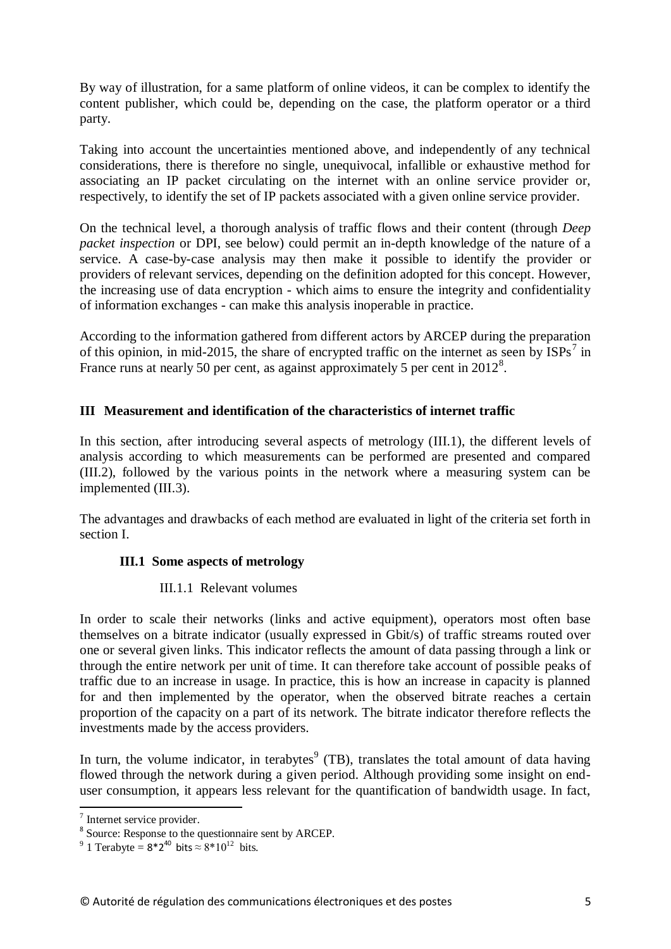By way of illustration, for a same platform of online videos, it can be complex to identify the content publisher, which could be, depending on the case, the platform operator or a third party.

Taking into account the uncertainties mentioned above, and independently of any technical considerations, there is therefore no single, unequivocal, infallible or exhaustive method for associating an IP packet circulating on the internet with an online service provider or, respectively, to identify the set of IP packets associated with a given online service provider.

On the technical level, a thorough analysis of traffic flows and their content (through *Deep packet inspection* or DPI, see below) could permit an in-depth knowledge of the nature of a service. A case-by-case analysis may then make it possible to identify the provider or providers of relevant services, depending on the definition adopted for this concept. However, the increasing use of data encryption - which aims to ensure the integrity and confidentiality of information exchanges - can make this analysis inoperable in practice.

According to the information gathered from different actors by ARCEP during the preparation of this opinion, in mid-2015, the share of encrypted traffic on the internet as seen by  $ISPs<sup>7</sup>$  in France runs at nearly 50 per cent, as against approximately 5 per cent in  $2012^8$ .

### <span id="page-4-0"></span>**III Measurement and identification of the characteristics of internet traffic**

In this section, after introducing several aspects of metrology [\(III.1\)](#page-4-1), the different levels of analysis according to which measurements can be performed are presented and compared [\(III.2\)](#page-6-0), followed by the various points in the network where a measuring system can be implemented [\(III.3\)](#page-8-0).

<span id="page-4-1"></span>The advantages and drawbacks of each method are evaluated in light of the criteria set forth in section [I.](#page-0-0)

### **III.1 Some aspects of metrology**

### III.1.1 Relevant volumes

In order to scale their networks (links and active equipment), operators most often base themselves on a bitrate indicator (usually expressed in Gbit/s) of traffic streams routed over one or several given links. This indicator reflects the amount of data passing through a link or through the entire network per unit of time. It can therefore take account of possible peaks of traffic due to an increase in usage. In practice, this is how an increase in capacity is planned for and then implemented by the operator, when the observed bitrate reaches a certain proportion of the capacity on a part of its network. The bitrate indicator therefore reflects the investments made by the access providers.

In turn, the volume indicator, in terabytes $^9$  (TB), translates the total amount of data having flowed through the network during a given period. Although providing some insight on enduser consumption, it appears less relevant for the quantification of bandwidth usage. In fact,

 7 Internet service provider.

<sup>&</sup>lt;sup>8</sup> Source: Response to the questionnaire sent by ARCEP.

<sup>&</sup>lt;sup>9</sup> 1 Terabyte =  $8*2^{40}$  bits  $\approx 8*10^{12}$  bits.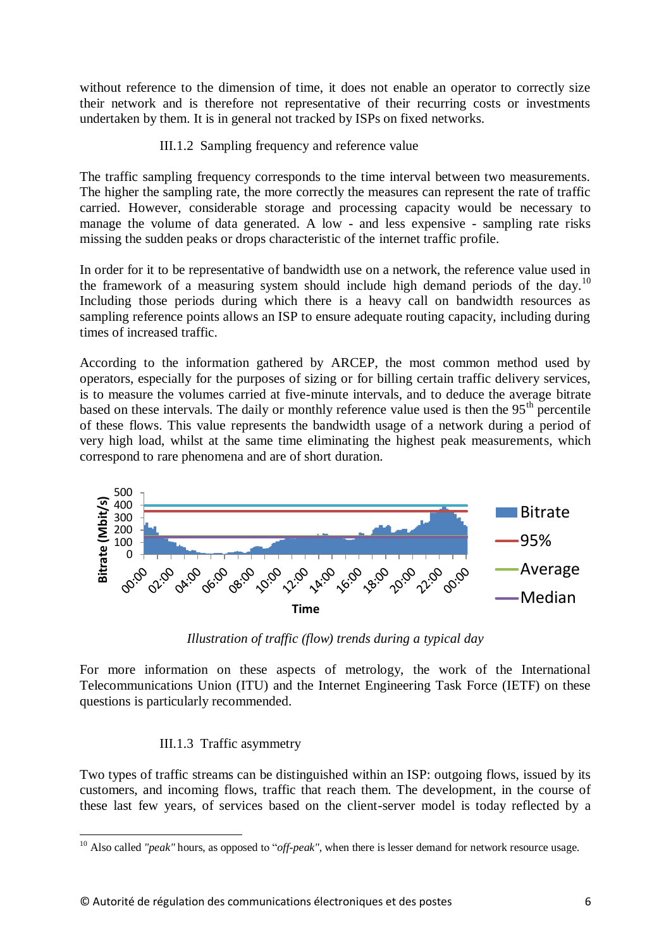without reference to the dimension of time, it does not enable an operator to correctly size their network and is therefore not representative of their recurring costs or investments undertaken by them. It is in general not tracked by ISPs on fixed networks.

### III.1.2 Sampling frequency and reference value

The traffic sampling frequency corresponds to the time interval between two measurements. The higher the sampling rate, the more correctly the measures can represent the rate of traffic carried. However, considerable storage and processing capacity would be necessary to manage the volume of data generated. A low - and less expensive - sampling rate risks missing the sudden peaks or drops characteristic of the internet traffic profile.

In order for it to be representative of bandwidth use on a network, the reference value used in the framework of a measuring system should include high demand periods of the day.<sup>10</sup> Including those periods during which there is a heavy call on bandwidth resources as sampling reference points allows an ISP to ensure adequate routing capacity, including during times of increased traffic.

According to the information gathered by ARCEP, the most common method used by operators, especially for the purposes of sizing or for billing certain traffic delivery services, is to measure the volumes carried at five-minute intervals, and to deduce the average bitrate based on these intervals. The daily or monthly reference value used is then the  $95<sup>th</sup>$  percentile of these flows. This value represents the bandwidth usage of a network during a period of very high load, whilst at the same time eliminating the highest peak measurements, which correspond to rare phenomena and are of short duration.



*Illustration of traffic (flow) trends during a typical day*

For more information on these aspects of metrology, the work of the International Telecommunications Union (ITU) and the Internet Engineering Task Force (IETF) on these questions is particularly recommended.

### III.1.3 Traffic asymmetry

Two types of traffic streams can be distinguished within an ISP: outgoing flows, issued by its customers, and incoming flows, traffic that reach them. The development, in the course of these last few years, of services based on the client-server model is today reflected by a

<sup>1</sup> <sup>10</sup> Also called *"peak"* hours, as opposed to "*off-peak"*, when there is lesser demand for network resource usage.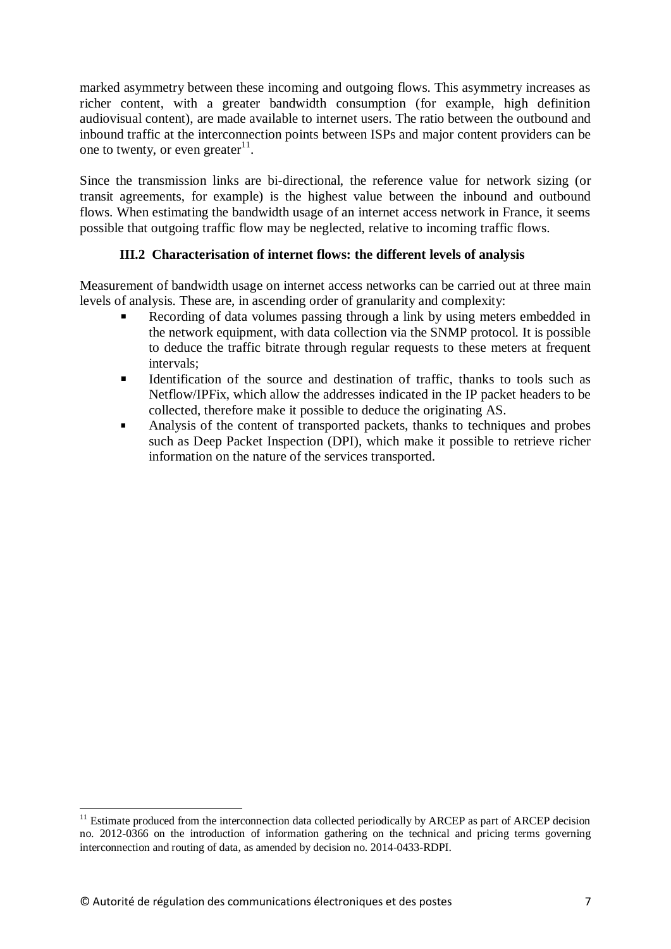marked asymmetry between these incoming and outgoing flows. This asymmetry increases as richer content, with a greater bandwidth consumption (for example, high definition audiovisual content), are made available to internet users. The ratio between the outbound and inbound traffic at the interconnection points between ISPs and major content providers can be one to twenty, or even greater $11$ .

Since the transmission links are bi-directional, the reference value for network sizing (or transit agreements, for example) is the highest value between the inbound and outbound flows. When estimating the bandwidth usage of an internet access network in France, it seems possible that outgoing traffic flow may be neglected, relative to incoming traffic flows.

### **III.2 Characterisation of internet flows: the different levels of analysis**

<span id="page-6-0"></span>Measurement of bandwidth usage on internet access networks can be carried out at three main levels of analysis. These are, in ascending order of granularity and complexity:

- Recording of data volumes passing through a link by using meters embedded in the network equipment, with data collection via the SNMP protocol. It is possible to deduce the traffic bitrate through regular requests to these meters at frequent intervals;
- Identification of the source and destination of traffic, thanks to tools such as Netflow/IPFix, which allow the addresses indicated in the IP packet headers to be collected, therefore make it possible to deduce the originating AS.
- Analysis of the content of transported packets, thanks to techniques and probes such as Deep Packet Inspection (DPI), which make it possible to retrieve richer information on the nature of the services transported.

**.** 

<sup>&</sup>lt;sup>11</sup> Estimate produced from the interconnection data collected periodically by ARCEP as part of ARCEP decision no. 2012-0366 on the introduction of information gathering on the technical and pricing terms governing interconnection and routing of data, as amended by decision no. 2014-0433-RDPI.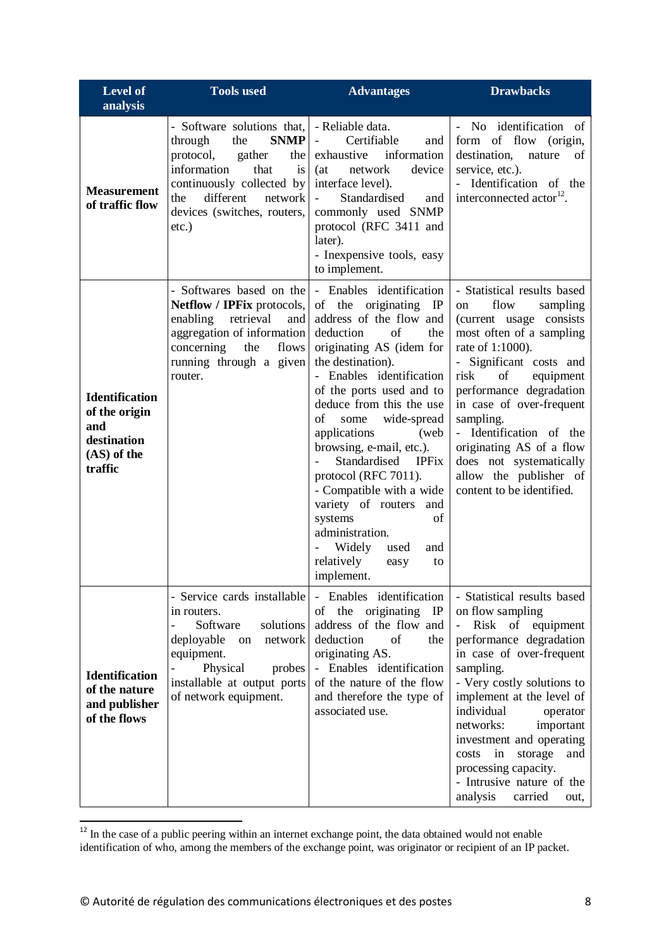| <b>Level of</b><br>analysis                                                            | <b>Tools used</b>                                                                                                                                                                                                                                | <b>Advantages</b>                                                                                                                                                                                                                                                                                                                                                                                                                                                                                                                                                                        | <b>Drawbacks</b>                                                                                                                                                                                                                                                                                                                                                                                                     |
|----------------------------------------------------------------------------------------|--------------------------------------------------------------------------------------------------------------------------------------------------------------------------------------------------------------------------------------------------|------------------------------------------------------------------------------------------------------------------------------------------------------------------------------------------------------------------------------------------------------------------------------------------------------------------------------------------------------------------------------------------------------------------------------------------------------------------------------------------------------------------------------------------------------------------------------------------|----------------------------------------------------------------------------------------------------------------------------------------------------------------------------------------------------------------------------------------------------------------------------------------------------------------------------------------------------------------------------------------------------------------------|
| <b>Measurement</b><br>of traffic flow                                                  | - Software solutions that,   - Reliable data.<br><b>SNMP</b><br>through<br>the<br>protocol,<br>gather<br>the<br>information<br>that<br>is<br>continuously collected by<br>different<br>the<br>network<br>devices (switches, routers,<br>$etc.$ ) | Certifiable<br>$\overline{\phantom{a}}$<br>and<br>information<br>exhaustive<br>network<br>device<br>(at<br>interface level).<br>$\omega_{\rm{max}}$<br>Standardised<br>and<br>commonly used SNMP<br>protocol (RFC 3411 and<br>later).<br>- Inexpensive tools, easy<br>to implement.                                                                                                                                                                                                                                                                                                      | - No identification of<br>form of flow (origin,<br>nature<br>destination,<br>of<br>service, etc.).<br>- Identification of the<br>interconnected actor <sup>12</sup> .                                                                                                                                                                                                                                                |
| <b>Identification</b><br>of the origin<br>and<br>destination<br>(AS) of the<br>traffic | - Softwares based on the<br>Netflow / IPFix protocols,<br>retrieval<br>enabling<br>and<br>aggregation of information<br>concerning<br>the<br>flows<br>running through a given<br>router.                                                         | - Enables identification<br>of the<br>originating<br>$\mathbb{IP}$<br>address of the flow and<br>of<br>deduction<br>the<br>originating AS (idem for<br>the destination).<br>- Enables identification<br>of the ports used and to<br>deduce from this the use<br>wide-spread<br>of<br>some<br>applications<br>(web)<br>browsing, e-mail, etc.).<br>Standardised<br><b>IPFix</b><br>$\overline{a}$<br>protocol (RFC 7011).<br>- Compatible with a wide<br>variety of routers<br>and<br>of<br>systems<br>administration.<br>Widely<br>used<br>and<br>relatively<br>easy<br>to<br>implement. | - Statistical results based<br>flow<br>sampling<br>on<br>(current usage consists<br>most often of a sampling<br>rate of 1:1000).<br>- Significant costs and<br>risk<br>of<br>equipment<br>performance degradation<br>in case of over-frequent<br>sampling.<br>- Identification of the<br>originating AS of a flow<br>does not systematically<br>allow the publisher of<br>content to be identified.                  |
| <b>Identification</b><br>of the nature<br>and publisher<br>of the flows                | - Service cards installable<br>in routers.<br>Software<br>solutions<br>$\frac{1}{2}$<br>deployable<br>network<br>on<br>equipment.<br>Physical<br>probes<br>installable at output ports<br>of network equipment.                                  | - Enables identification<br>originating IP<br>of the<br>address of the flow and<br>deduction<br>of<br>the<br>originating AS.<br>- Enables identification<br>of the nature of the flow<br>and therefore the type of<br>associated use.                                                                                                                                                                                                                                                                                                                                                    | - Statistical results based<br>on flow sampling<br>$\equiv$<br>Risk of equipment<br>performance degradation<br>in case of over-frequent<br>sampling.<br>- Very costly solutions to<br>implement at the level of<br>individual<br>operator<br>networks:<br>important<br>investment and operating<br>costs<br>in<br>storage<br>and<br>processing capacity.<br>- Intrusive nature of the<br>analysis<br>carried<br>out, |

 $12$  In the case of a public peering within an internet exchange point, the data obtained would not enable identification of who, among the members of the exchange point, was originator or recipient of an IP packet.

-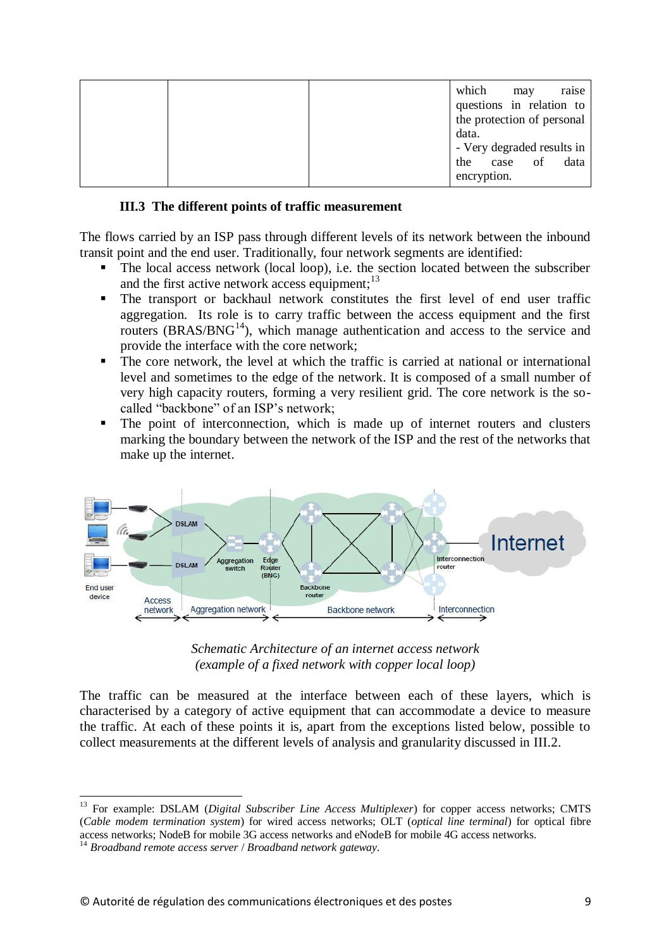|  | which       | may  | raise                      |
|--|-------------|------|----------------------------|
|  |             |      | questions in relation to   |
|  |             |      | the protection of personal |
|  | data.       |      |                            |
|  |             |      | - Very degraded results in |
|  | the         | case | data<br>of                 |
|  | encryption. |      |                            |

#### **III.3 The different points of traffic measurement**

<span id="page-8-0"></span>The flows carried by an ISP pass through different levels of its network between the inbound transit point and the end user. Traditionally, four network segments are identified:

- The local access network (local loop), i.e. the section located between the subscriber and the first active network access equipment:<sup>13</sup>
- The transport or backhaul network constitutes the first level of end user traffic aggregation. Its role is to carry traffic between the access equipment and the first routers  $(BRAS/BNG<sup>14</sup>)$ , which manage authentication and access to the service and provide the interface with the core network;
- The core network, the level at which the traffic is carried at national or international level and sometimes to the edge of the network. It is composed of a small number of very high capacity routers, forming a very resilient grid. The core network is the socalled "backbone" of an ISP's network;
- The point of interconnection, which is made up of internet routers and clusters marking the boundary between the network of the ISP and the rest of the networks that make up the internet.





The traffic can be measured at the interface between each of these layers, which is characterised by a category of active equipment that can accommodate a device to measure the traffic. At each of these points it is, apart from the exceptions listed below, possible to collect measurements at the different levels of analysis and granularity discussed in [III.2.](#page-6-0)

<sup>1</sup> <sup>13</sup> For example: DSLAM (*Digital Subscriber Line Access Multiplexer*) for copper access networks; CMTS (*Cable modem termination system*) for wired access networks; OLT (*optical line terminal*) for optical fibre access networks; NodeB for mobile 3G access networks and eNodeB for mobile 4G access networks.

<sup>14</sup> *Broadband remote access server* / *Broadband network gateway.*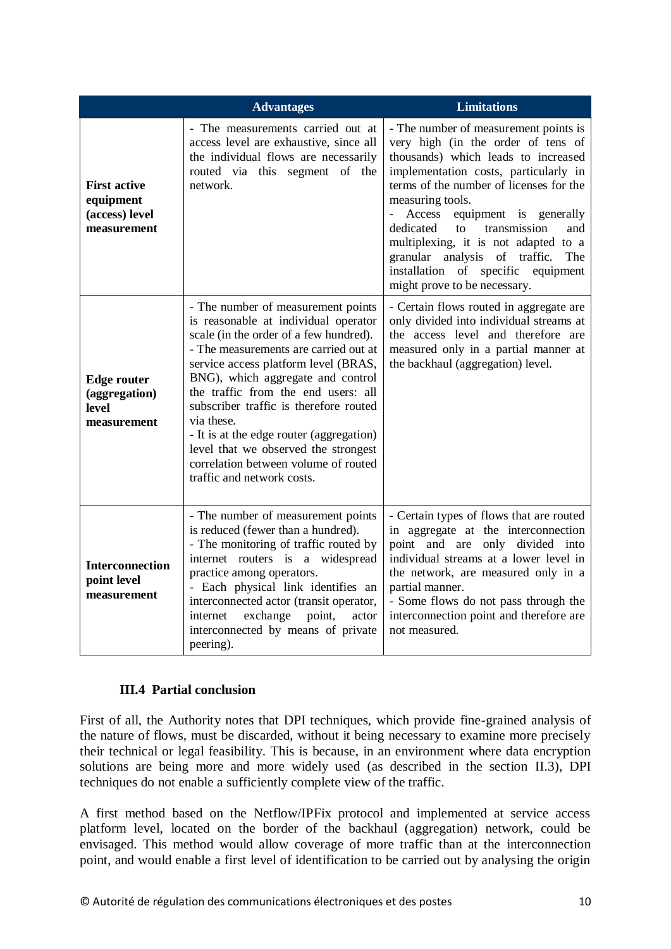|                                                                   | <b>Advantages</b>                                                                                                                                                                                                                                                                                                                                                                                                                                                                                   | <b>Limitations</b>                                                                                                                                                                                                                                                                                                                                                                                                                                                              |  |  |
|-------------------------------------------------------------------|-----------------------------------------------------------------------------------------------------------------------------------------------------------------------------------------------------------------------------------------------------------------------------------------------------------------------------------------------------------------------------------------------------------------------------------------------------------------------------------------------------|---------------------------------------------------------------------------------------------------------------------------------------------------------------------------------------------------------------------------------------------------------------------------------------------------------------------------------------------------------------------------------------------------------------------------------------------------------------------------------|--|--|
| <b>First active</b><br>equipment<br>(access) level<br>measurement | - The measurements carried out at<br>access level are exhaustive, since all<br>the individual flows are necessarily<br>routed via this segment of the<br>network.                                                                                                                                                                                                                                                                                                                                   | - The number of measurement points is<br>very high (in the order of tens of<br>thousands) which leads to increased<br>implementation costs, particularly in<br>terms of the number of licenses for the<br>measuring tools.<br>equipment is generally<br>Access<br>dedicated<br>transmission<br>and<br>$\mathsf{f} \Omega$<br>multiplexing, it is not adapted to a<br>granular analysis of traffic.<br>The<br>installation of specific equipment<br>might prove to be necessary. |  |  |
| <b>Edge router</b><br>(aggregation)<br>level<br>measurement       | - The number of measurement points<br>is reasonable at individual operator<br>scale (in the order of a few hundred).<br>- The measurements are carried out at<br>service access platform level (BRAS,<br>BNG), which aggregate and control<br>the traffic from the end users: all<br>subscriber traffic is therefore routed<br>via these.<br>- It is at the edge router (aggregation)<br>level that we observed the strongest<br>correlation between volume of routed<br>traffic and network costs. | - Certain flows routed in aggregate are<br>only divided into individual streams at<br>the access level and therefore are<br>measured only in a partial manner at<br>the backhaul (aggregation) level.                                                                                                                                                                                                                                                                           |  |  |
| <b>Interconnection</b><br>point level<br>measurement              | - The number of measurement points<br>is reduced (fewer than a hundred).<br>- The monitoring of traffic routed by<br>internet routers is a widespread<br>practice among operators.<br>- Each physical link identifies an<br>interconnected actor (transit operator,<br>exchange<br>point,<br>internet<br>actor<br>interconnected by means of private<br>peering).                                                                                                                                   | - Certain types of flows that are routed<br>in aggregate at the interconnection<br>point and are only divided into<br>individual streams at a lower level in<br>the network, are measured only in a<br>partial manner.<br>- Some flows do not pass through the<br>interconnection point and therefore are<br>not measured.                                                                                                                                                      |  |  |

### **III.4 Partial conclusion**

First of all, the Authority notes that DPI techniques, which provide fine-grained analysis of the nature of flows, must be discarded, without it being necessary to examine more precisely their technical or legal feasibility. This is because, in an environment where data encryption solutions are being more and more widely used (as described in the section [II.3\)](#page-3-0), DPI techniques do not enable a sufficiently complete view of the traffic.

A first method based on the Netflow/IPFix protocol and implemented at service access platform level, located on the border of the backhaul (aggregation) network, could be envisaged. This method would allow coverage of more traffic than at the interconnection point, and would enable a first level of identification to be carried out by analysing the origin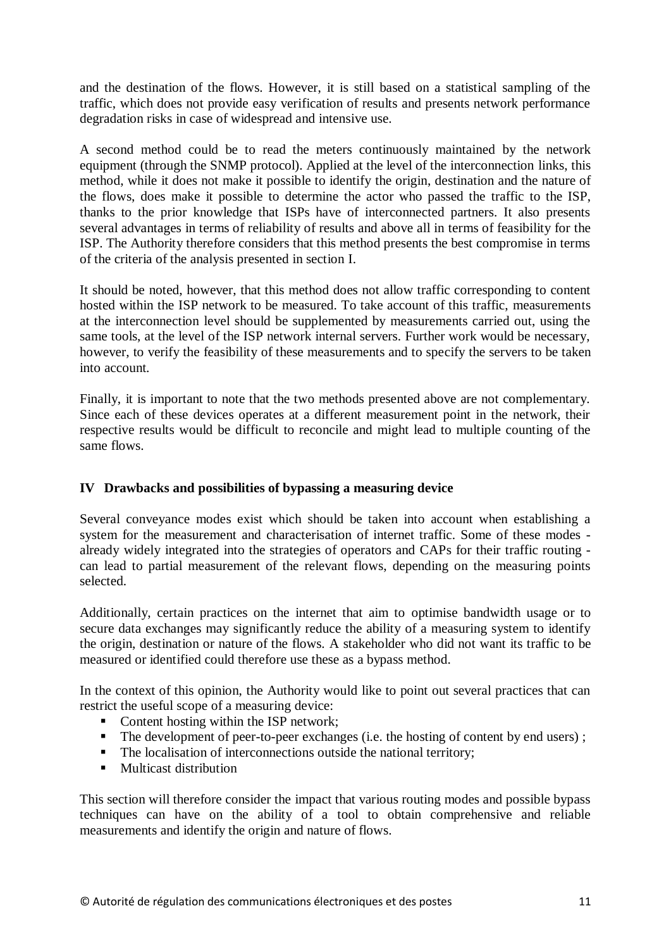and the destination of the flows. However, it is still based on a statistical sampling of the traffic, which does not provide easy verification of results and presents network performance degradation risks in case of widespread and intensive use.

A second method could be to read the meters continuously maintained by the network equipment (through the SNMP protocol). Applied at the level of the interconnection links, this method, while it does not make it possible to identify the origin, destination and the nature of the flows, does make it possible to determine the actor who passed the traffic to the ISP, thanks to the prior knowledge that ISPs have of interconnected partners. It also presents several advantages in terms of reliability of results and above all in terms of feasibility for the ISP. The Authority therefore considers that this method presents the best compromise in terms of the criteria of the analysis presented in section [I.](#page-0-0)

It should be noted, however, that this method does not allow traffic corresponding to content hosted within the ISP network to be measured. To take account of this traffic, measurements at the interconnection level should be supplemented by measurements carried out, using the same tools, at the level of the ISP network internal servers. Further work would be necessary, however, to verify the feasibility of these measurements and to specify the servers to be taken into account.

Finally, it is important to note that the two methods presented above are not complementary. Since each of these devices operates at a different measurement point in the network, their respective results would be difficult to reconcile and might lead to multiple counting of the same flows.

### <span id="page-10-0"></span>**IV Drawbacks and possibilities of bypassing a measuring device**

Several conveyance modes exist which should be taken into account when establishing a system for the measurement and characterisation of internet traffic. Some of these modes already widely integrated into the strategies of operators and CAPs for their traffic routing can lead to partial measurement of the relevant flows, depending on the measuring points selected.

Additionally, certain practices on the internet that aim to optimise bandwidth usage or to secure data exchanges may significantly reduce the ability of a measuring system to identify the origin, destination or nature of the flows. A stakeholder who did not want its traffic to be measured or identified could therefore use these as a bypass method.

In the context of this opinion, the Authority would like to point out several practices that can restrict the useful scope of a measuring device:

- Content hosting within the ISP network;
- $\blacksquare$  The development of peer-to-peer exchanges (i.e. the hosting of content by end users);
- The localisation of interconnections outside the national territory;
- **Multicast distribution**

This section will therefore consider the impact that various routing modes and possible bypass techniques can have on the ability of a tool to obtain comprehensive and reliable measurements and identify the origin and nature of flows.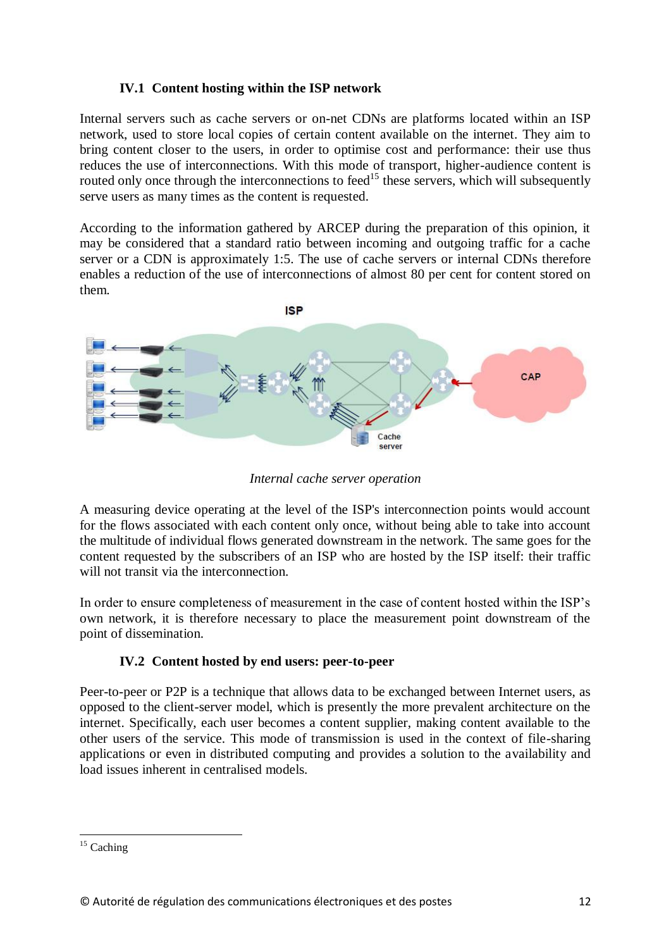### **IV.1 Content hosting within the ISP network**

Internal servers such as cache servers or on-net CDNs are platforms located within an ISP network, used to store local copies of certain content available on the internet. They aim to bring content closer to the users, in order to optimise cost and performance: their use thus reduces the use of interconnections. With this mode of transport, higher-audience content is routed only once through the interconnections to feed<sup>15</sup> these servers, which will subsequently serve users as many times as the content is requested.

According to the information gathered by ARCEP during the preparation of this opinion, it may be considered that a standard ratio between incoming and outgoing traffic for a cache server or a CDN is approximately 1:5. The use of cache servers or internal CDNs therefore enables a reduction of the use of interconnections of almost 80 per cent for content stored on them.



*Internal cache server operation*

A measuring device operating at the level of the ISP's interconnection points would account for the flows associated with each content only once, without being able to take into account the multitude of individual flows generated downstream in the network. The same goes for the content requested by the subscribers of an ISP who are hosted by the ISP itself: their traffic will not transit via the interconnection.

In order to ensure completeness of measurement in the case of content hosted within the ISP's own network, it is therefore necessary to place the measurement point downstream of the point of dissemination.

# **IV.2 Content hosted by end users: peer-to-peer**

Peer-to-peer or P2P is a technique that allows data to be exchanged between Internet users, as opposed to the client-server model, which is presently the more prevalent architecture on the internet. Specifically, each user becomes a content supplier, making content available to the other users of the service. This mode of transmission is used in the context of file-sharing applications or even in distributed computing and provides a solution to the availability and load issues inherent in centralised models.

<sup>1</sup>  $15$  Caching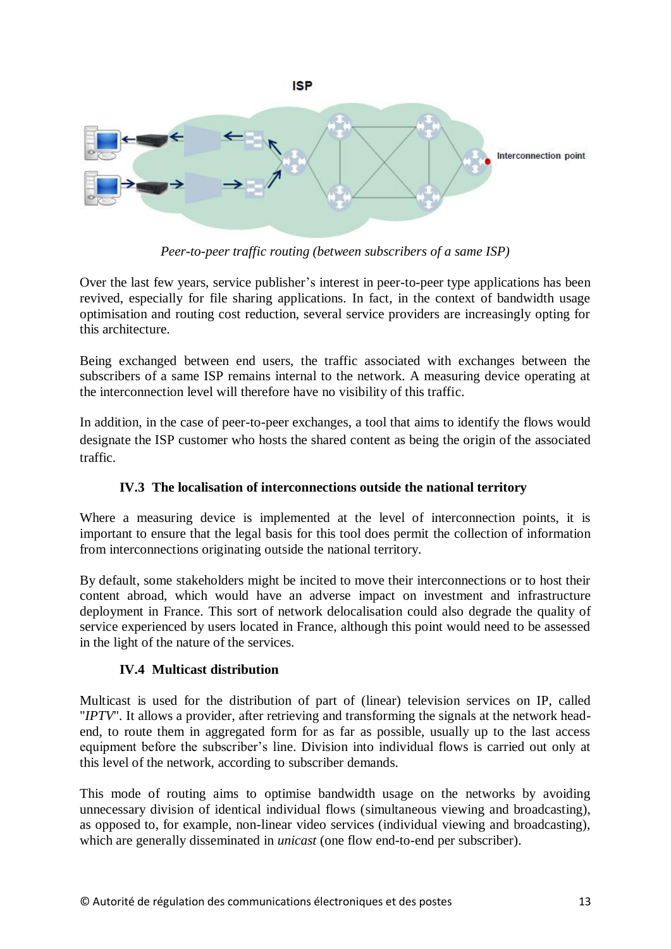

*Peer-to-peer traffic routing (between subscribers of a same ISP)*

Over the last few years, service publisher's interest in peer-to-peer type applications has been revived, especially for file sharing applications. In fact, in the context of bandwidth usage optimisation and routing cost reduction, several service providers are increasingly opting for this architecture.

Being exchanged between end users, the traffic associated with exchanges between the subscribers of a same ISP remains internal to the network. A measuring device operating at the interconnection level will therefore have no visibility of this traffic.

In addition, in the case of peer-to-peer exchanges, a tool that aims to identify the flows would designate the ISP customer who hosts the shared content as being the origin of the associated traffic.

# **IV.3 The localisation of interconnections outside the national territory**

Where a measuring device is implemented at the level of interconnection points, it is important to ensure that the legal basis for this tool does permit the collection of information from interconnections originating outside the national territory.

By default, some stakeholders might be incited to move their interconnections or to host their content abroad, which would have an adverse impact on investment and infrastructure deployment in France. This sort of network delocalisation could also degrade the quality of service experienced by users located in France, although this point would need to be assessed in the light of the nature of the services.

# **IV.4 Multicast distribution**

Multicast is used for the distribution of part of (linear) television services on IP, called "*IPTV*". It allows a provider, after retrieving and transforming the signals at the network headend, to route them in aggregated form for as far as possible, usually up to the last access equipment before the subscriber's line. Division into individual flows is carried out only at this level of the network, according to subscriber demands.

This mode of routing aims to optimise bandwidth usage on the networks by avoiding unnecessary division of identical individual flows (simultaneous viewing and broadcasting), as opposed to, for example, non-linear video services (individual viewing and broadcasting), which are generally disseminated in *unicast* (one flow end-to-end per subscriber).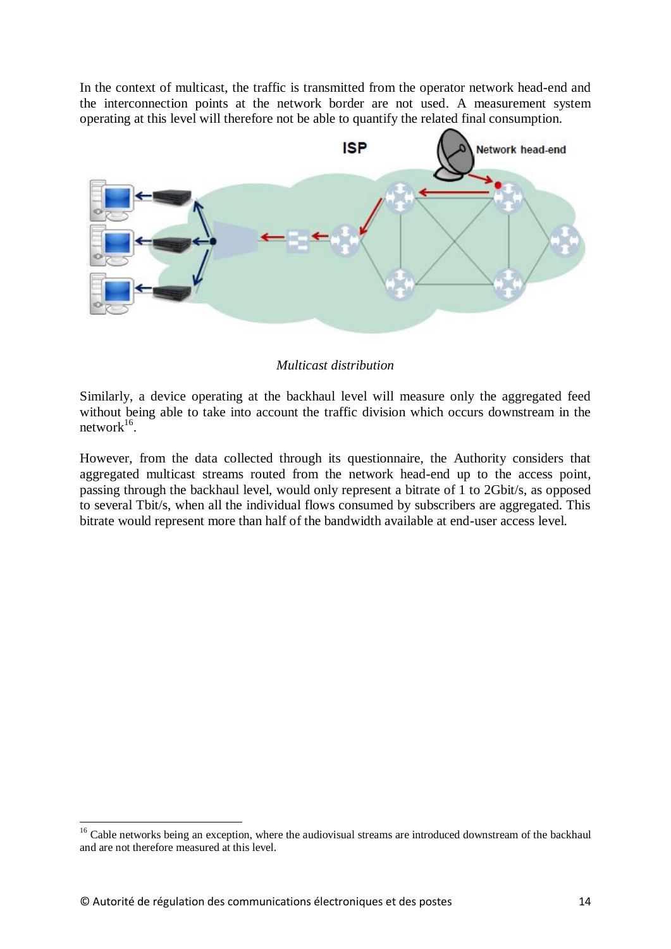In the context of multicast, the traffic is transmitted from the operator network head-end and the interconnection points at the network border are not used. A measurement system operating at this level will therefore not be able to quantify the related final consumption.



#### *Multicast distribution*

Similarly, a device operating at the backhaul level will measure only the aggregated feed without being able to take into account the traffic division which occurs downstream in the  $network^{16}$ .

However, from the data collected through its questionnaire, the Authority considers that aggregated multicast streams routed from the network head-end up to the access point, passing through the backhaul level, would only represent a bitrate of 1 to 2Gbit/s, as opposed to several Tbit/s, when all the individual flows consumed by subscribers are aggregated. This bitrate would represent more than half of the bandwidth available at end-user access level.

-

<sup>&</sup>lt;sup>16</sup> Cable networks being an exception, where the audiovisual streams are introduced downstream of the backhaul and are not therefore measured at this level.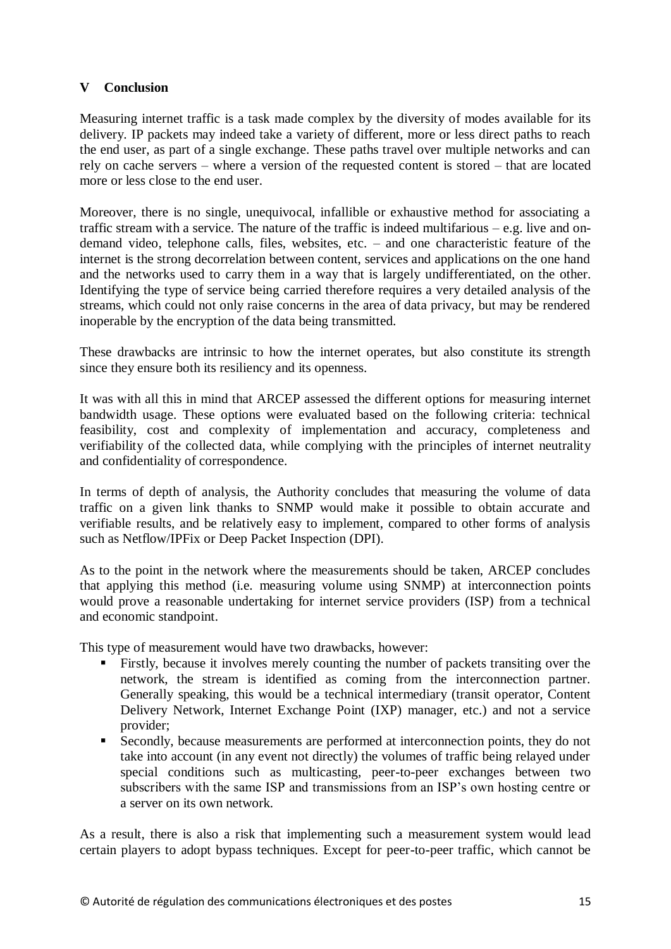### **V Conclusion**

Measuring internet traffic is a task made complex by the diversity of modes available for its delivery. IP packets may indeed take a variety of different, more or less direct paths to reach the end user, as part of a single exchange. These paths travel over multiple networks and can rely on cache servers – where a version of the requested content is stored – that are located more or less close to the end user.

Moreover, there is no single, unequivocal, infallible or exhaustive method for associating a traffic stream with a service. The nature of the traffic is indeed multifarious – e.g. live and ondemand video, telephone calls, files, websites, etc. – and one characteristic feature of the internet is the strong decorrelation between content, services and applications on the one hand and the networks used to carry them in a way that is largely undifferentiated, on the other. Identifying the type of service being carried therefore requires a very detailed analysis of the streams, which could not only raise concerns in the area of data privacy, but may be rendered inoperable by the encryption of the data being transmitted.

These drawbacks are intrinsic to how the internet operates, but also constitute its strength since they ensure both its resiliency and its openness.

It was with all this in mind that ARCEP assessed the different options for measuring internet bandwidth usage. These options were evaluated based on the following criteria: technical feasibility, cost and complexity of implementation and accuracy, completeness and verifiability of the collected data, while complying with the principles of internet neutrality and confidentiality of correspondence.

In terms of depth of analysis, the Authority concludes that measuring the volume of data traffic on a given link thanks to SNMP would make it possible to obtain accurate and verifiable results, and be relatively easy to implement, compared to other forms of analysis such as Netflow/IPFix or Deep Packet Inspection (DPI).

As to the point in the network where the measurements should be taken, ARCEP concludes that applying this method (i.e. measuring volume using SNMP) at interconnection points would prove a reasonable undertaking for internet service providers (ISP) from a technical and economic standpoint.

This type of measurement would have two drawbacks, however:

- Firstly, because it involves merely counting the number of packets transiting over the network, the stream is identified as coming from the interconnection partner. Generally speaking, this would be a technical intermediary (transit operator, Content Delivery Network, Internet Exchange Point (IXP) manager, etc.) and not a service provider;
- Secondly, because measurements are performed at interconnection points, they do not take into account (in any event not directly) the volumes of traffic being relayed under special conditions such as multicasting, peer-to-peer exchanges between two subscribers with the same ISP and transmissions from an ISP's own hosting centre or a server on its own network.

As a result, there is also a risk that implementing such a measurement system would lead certain players to adopt bypass techniques. Except for peer-to-peer traffic, which cannot be